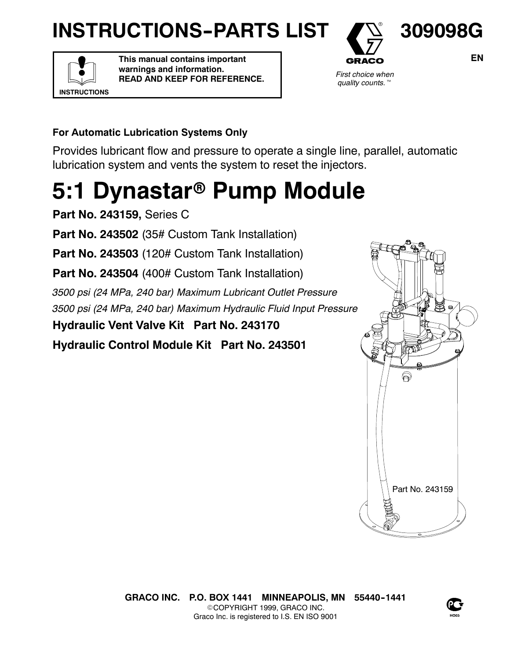# **INSTRUCTIONS-PARTS LIST**



**This manual contains important warnings and information. READ AND KEEP FOR REFERENCE.**



**309098G**

*First choice when quality counts.*t

### **For Automatic Lubrication Systems Only**

Provides lubricant flow and pressure to operate a single line, parallel, automatic lubrication system and vents the system to reset the injectors.

# **5:1 Dynastar<sup>®</sup> Pump Module**

**Part No. 243159,** Series C

Part No. 243502 (35# Custom Tank Installation)

Part No. 243503 (120# Custom Tank Installation)

**Part No. 243504** (400# Custom Tank Installation)

*3500 psi (24 MPa, 240 bar) Maximum Lubricant Outlet Pressure 3500 psi (24 MPa, 240 bar) Maximum Hydraulic Fluid Input Pressure*

**Hydraulic Vent Valve Kit Part No. 243170**

**Hydraulic Control Module Kit Part No. 243501**





**EN**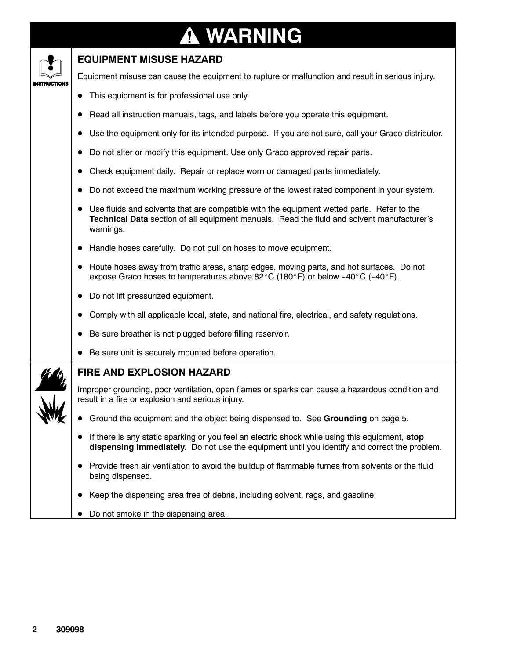# **WARNING**

| <b>EQUIPMENT MISUSE HAZARD</b>                                                                                                                                                                                       |
|----------------------------------------------------------------------------------------------------------------------------------------------------------------------------------------------------------------------|
| Equipment misuse can cause the equipment to rupture or malfunction and result in serious injury.                                                                                                                     |
| This equipment is for professional use only.                                                                                                                                                                         |
| Read all instruction manuals, tags, and labels before you operate this equipment.                                                                                                                                    |
| Use the equipment only for its intended purpose. If you are not sure, call your Graco distributor.                                                                                                                   |
| Do not alter or modify this equipment. Use only Graco approved repair parts.                                                                                                                                         |
| Check equipment daily. Repair or replace worn or damaged parts immediately.                                                                                                                                          |
| Do not exceed the maximum working pressure of the lowest rated component in your system.                                                                                                                             |
| Use fluids and solvents that are compatible with the equipment wetted parts. Refer to the<br>$\bullet$<br>Technical Data section of all equipment manuals. Read the fluid and solvent manufacturer's<br>warnings.    |
| Handle hoses carefully. Do not pull on hoses to move equipment.                                                                                                                                                      |
| Route hoses away from traffic areas, sharp edges, moving parts, and hot surfaces. Do not<br>expose Graco hoses to temperatures above $82^{\circ}$ C (180 $^{\circ}$ F) or below -40 $^{\circ}$ C (-40 $^{\circ}$ F). |
| Do not lift pressurized equipment.                                                                                                                                                                                   |
| Comply with all applicable local, state, and national fire, electrical, and safety regulations.                                                                                                                      |
| Be sure breather is not plugged before filling reservoir.                                                                                                                                                            |
| Be sure unit is securely mounted before operation.                                                                                                                                                                   |
| FIRE AND EXPLOSION HAZARD                                                                                                                                                                                            |
| Improper grounding, poor ventilation, open flames or sparks can cause a hazardous condition and<br>result in a fire or explosion and serious injury.                                                                 |
| Ground the equipment and the object being dispensed to. See Grounding on page 5.                                                                                                                                     |
| If there is any static sparking or you feel an electric shock while using this equipment, stop<br>dispensing immediately. Do not use the equipment until you identify and correct the problem.                       |
| Provide fresh air ventilation to avoid the buildup of flammable fumes from solvents or the fluid<br>being dispensed.                                                                                                 |
| Keep the dispensing area free of debris, including solvent, rags, and gasoline.                                                                                                                                      |
| Do not smoke in the dispensing area.                                                                                                                                                                                 |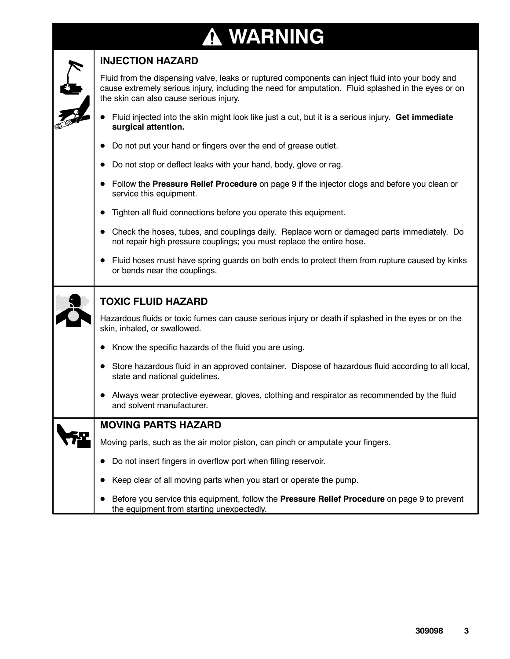### **WARNING**4



### **INJECTION HAZARD**

Fluid from the dispensing valve, leaks or ruptured components can inject fluid into your body and cause extremely serious injury, including the need for amputation. Fluid splashed in the eyes or on the skin can also cause serious injury.

- D Fluid injected into the skin might look like just a cut, but it is a serious injury. **Get immediate surgical attention.**
- Do not put your hand or fingers over the end of grease outlet.
- Do not stop or deflect leaks with your hand, body, glove or rag.
- D Follow the **Pressure Relief Procedure** on page 9 if the injector clogs and before you clean or service this equipment.
- Tighten all fluid connections before you operate this equipment.
- D Check the hoses, tubes, and couplings daily. Replace worn or damaged parts immediately. Do not repair high pressure couplings; you must replace the entire hose.
- Fluid hoses must have spring guards on both ends to protect them from rupture caused by kinks or bends near the couplings.

|                                                                                 |  | <b>TOXIC FLUID HAZARD</b>                                                                                                            |  |  |  |
|---------------------------------------------------------------------------------|--|--------------------------------------------------------------------------------------------------------------------------------------|--|--|--|
|                                                                                 |  | Hazardous fluids or toxic fumes can cause serious injury or death if splashed in the eyes or on the<br>skin, inhaled, or swallowed.  |  |  |  |
|                                                                                 |  | Know the specific hazards of the fluid you are using.                                                                                |  |  |  |
|                                                                                 |  | Store hazardous fluid in an approved container. Dispose of hazardous fluid according to all local,<br>state and national guidelines. |  |  |  |
|                                                                                 |  | Always wear protective eyewear, gloves, clothing and respirator as recommended by the fluid<br>and solvent manufacturer.             |  |  |  |
| <b>MOVING PARTS HAZARD</b>                                                      |  |                                                                                                                                      |  |  |  |
| Moving parts, such as the air motor piston, can pinch or amputate your fingers. |  |                                                                                                                                      |  |  |  |
|                                                                                 |  | Do not insert fingers in overflow port when filling reservoir.                                                                       |  |  |  |

- Keep clear of all moving parts when you start or operate the pump.
- D Before you service this equipment, follow the **Pressure Relief Procedure** on page 9 to prevent the equipment from starting unexpectedly.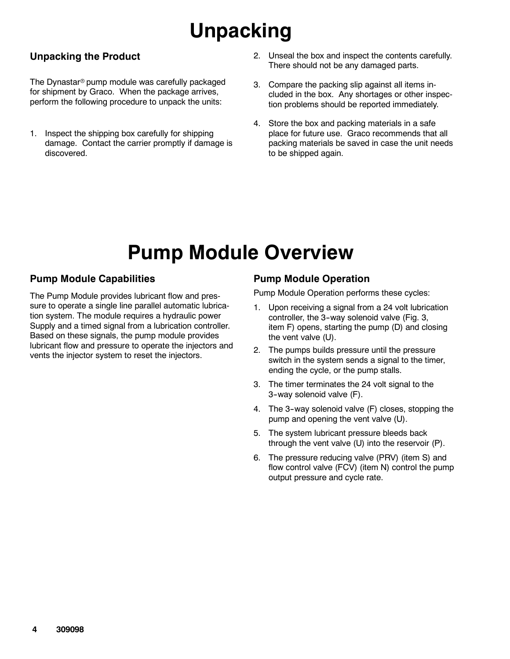# **Unpacking**

### **Unpacking the Product**

The Dynastar<sup>®</sup> pump module was carefully packaged for shipment by Graco. When the package arrives, perform the following procedure to unpack the units:

- 1. Inspect the shipping box carefully for shipping damage. Contact the carrier promptly if damage is discovered.
- 2. Unseal the box and inspect the contents carefully. There should not be any damaged parts.
- 3. Compare the packing slip against all items included in the box. Any shortages or other inspection problems should be reported immediately.
- 4. Store the box and packing materials in a safe place for future use. Graco recommends that all packing materials be saved in case the unit needs to be shipped again.

## **Pump Module Overview**

### **Pump Module Capabilities**

The Pump Module provides lubricant flow and pressure to operate a single line parallel automatic lubrication system. The module requires a hydraulic power Supply and a timed signal from a lubrication controller. Based on these signals, the pump module provides lubricant flow and pressure to operate the injectors and vents the injector system to reset the injectors.

### **Pump Module Operation**

Pump Module Operation performs these cycles:

- 1. Upon receiving a signal from a 24 volt lubrication controller, the 3-way solenoid valve (Fig. 3, item F) opens, starting the pump (D) and closing the vent valve (U).
- 2. The pumps builds pressure until the pressure switch in the system sends a signal to the timer, ending the cycle, or the pump stalls.
- 3. The timer terminates the 24 volt signal to the 3--way solenoid valve (F).
- 4. The 3--way solenoid valve (F) closes, stopping the pump and opening the vent valve (U).
- 5. The system lubricant pressure bleeds back through the vent valve (U) into the reservoir (P).
- 6. The pressure reducing valve (PRV) (item S) and flow control valve (FCV) (item N) control the pump output pressure and cycle rate.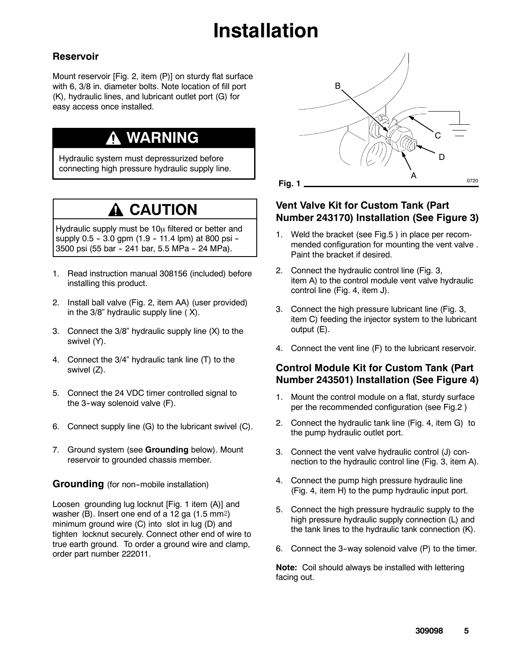# **Installation**

### **Reservoir**

Mount reservoir [Fig. 2, item (P)] on sturdy flat surface with 6, 3/8 in. diameter bolts. Note location of fill port (K), hydraulic lines, and lubricant outlet port (G) for easy access once installed.

## **WARNING**

Hydraulic system must depressurized before connecting high pressure hydraulic supply line.

## **A CAUTION**

Hydraulic supply must be  $10\mu$  filtered or better and supply  $0.5 - 3.0$  gpm  $(1.9 - 11.4$  lpm) at 800 psi --3500 psi (55 bar - 241 bar, 5.5 MPa - 24 MPa).

- 1. Read instruction manual 308156 (included) before installing this product.
- 2. Install ball valve (Fig. 2, item AA) (user provided) in the 3/8" hydraulic supply line ( X).
- 3. Connect the 3/8" hydraulic supply line (X) to the swivel (Y).
- 4. Connect the 3/4" hydraulic tank line (T) to the swivel (Z).
- 5. Connect the 24 VDC timer controlled signal to the 3-way solenoid valve (F).
- 6. Connect supply line (G) to the lubricant swivel (C).
- 7. Ground system (see **Grounding** below). Mount reservoir to grounded chassis member.

**Grounding** (for non-mobile installation)

Loosen grounding lug locknut [Fig. 1 item (A)] and washer (B). Insert one end of a 12 ga  $(1.5 \text{ mm2})$ minimum ground wire (C) into slot in lug (D) and tighten locknut securely. Connect other end of wire to true earth ground. To order a ground wire and clamp, order part number 222011.



### **Vent Valve Kit for Custom Tank (Part Number 243170) Installation (See Figure 3)**

- 1. Weld the bracket (see Fig.5 ) in place per recommended configuration for mounting the vent valve . Paint the bracket if desired.
- 2. Connect the hydraulic control line (Fig. 3, item A) to the control module vent valve hydraulic control line (Fig. 4, item J).
- 3. Connect the high pressure lubricant line (Fig. 3, item C) feeding the injector system to the lubricant output (E).
- 4. Connect the vent line (F) to the lubricant reservoir.

### **Control Module Kit for Custom Tank (Part Number 243501) Installation (See Figure 4)**

- 1. Mount the control module on a flat, sturdy surface per the recommended configuration (see Fig.2 )
- 2. Connect the hydraulic tank line (Fig. 4, item G) to the pump hydraulic outlet port.
- 3. Connect the vent valve hydraulic control (J) connection to the hydraulic control line (Fig. 3, item A).
- 4. Connect the pump high pressure hydraulic line (Fig. 4, item H) to the pump hydraulic input port.
- 5. Connect the high pressure hydraulic supply to the high pressure hydraulic supply connection (L) and the tank lines to the hydraulic tank connection (K).
- 6. Connect the 3-way solenoid valve (P) to the timer.

**Note:** Coil should always be installed with lettering facing out.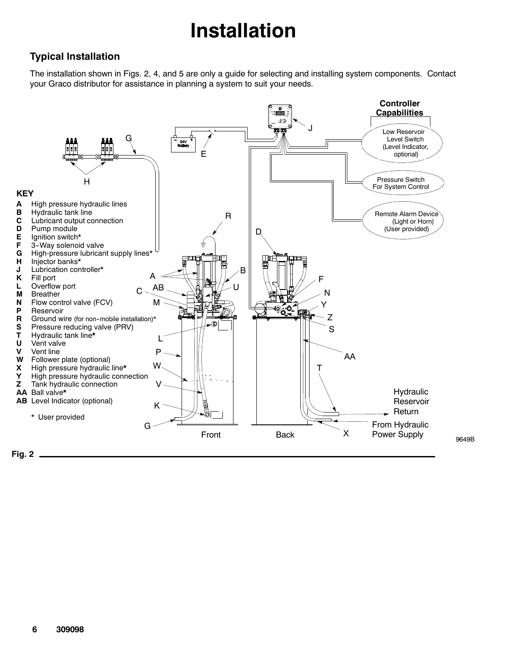# **Installation**

### **Typical Installation**

The installation shown in Figs. 2, 4, and 5 are only a guide for selecting and installing system components. Contact your Graco distributor for assistance in planning a system to suit your needs.



**Fig. 2**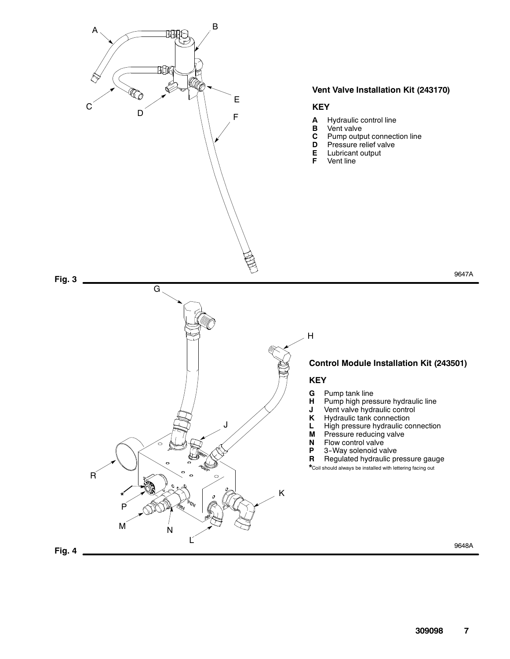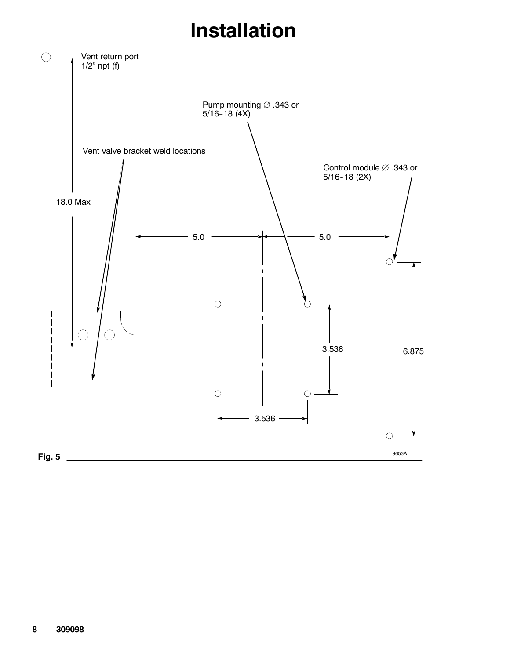## **Installation**

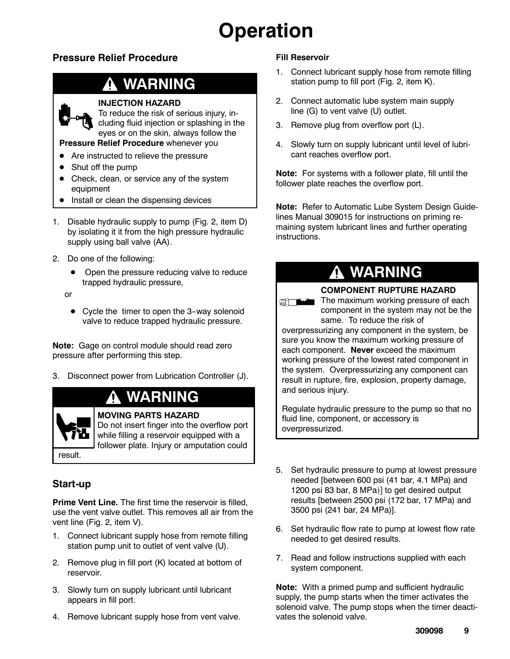## **Operation**

### **Pressure Relief Procedure**

## **WARNING**

### **INJECTION HAZARD**

To reduce the risk of serious injury, including fluid injection or splashing in the eyes or on the skin, always follow the

### **Pressure Relief Procedure** whenever you

- Are instructed to relieve the pressure
- Shut off the pump
- Check, clean, or service any of the system equipment
- Install or clean the dispensing devices
- 1. Disable hydraulic supply to pump (Fig. 2, item D) by isolating it it from the high pressure hydraulic supply using ball valve (AA).
- 2. Do one of the following:
	- Open the pressure reducing valve to reduce trapped hydraulic pressure,
	- or
		- $\bullet$  Cycle the timer to open the 3-way solenoid valve to reduce trapped hydraulic pressure.

**Note:** Gage on control module should read zero pressure after performing this step.

3. Disconnect power from Lubrication Controller (J).

### **WARNING**

### **MOVING PARTS HAZARD**

Do not insert finger into the overflow port while filling a reservoir equipped with a follower plate. Injury or amputation could

### result.

### **Start-up**

**Prime Vent Line.** The first time the reservoir is filled, use the vent valve outlet. This removes all air from the vent line (Fig. 2, item V).

- 1. Connect lubricant supply hose from remote filling station pump unit to outlet of vent valve (U).
- 2. Remove plug in fill port (K) located at bottom of reservoir.
- 3. Slowly turn on supply lubricant until lubricant appears in fill port.
- 4. Remove lubricant supply hose from vent valve.

### **Fill Reservoir**

- 1. Connect lubricant supply hose from remote filling station pump to fill port (Fig. 2, item K).
- 2. Connect automatic lube system main supply line (G) to vent valve (U) outlet.
- 3. Remove plug from overflow port (L).
- 4. Slowly turn on supply lubricant until level of lubricant reaches overflow port.

**Note:** For systems with a follower plate, fill until the follower plate reaches the overflow port.

**Note:** Refer to Automatic Lube System Design Guidelines Manual 309015 for instructions on priming remaining system lubricant lines and further operating instructions.

### **WARNING**

#### **COMPONENT RUPTURE HAZARD**

The maximum working pressure of each component in the system may not be the same. To reduce the risk of

overpressurizing any component in the system, be sure you know the maximum working pressure of each component. **Never** exceed the maximum working pressure of the lowest rated component in the system. Overpressurizing any component can result in rupture, fire, explosion, property damage, and serious injury.

Regulate hydraulic pressure to the pump so that no fluid line, component, or accessory is overpressurized.

- 5. Set hydraulic pressure to pump at lowest pressure needed [between 600 psi (41 bar, 4.1 MPa) and 1200 psi 83 bar, 8 MPa)] to get desired output results [between 2500 psi (172 bar, 17 MPa) and 3500 psi (241 bar, 24 MPa)].
- 6. Set hydraulic flow rate to pump at lowest flow rate needed to get desired results.
- 7. Read and follow instructions supplied with each system component.

**Note:** With a primed pump and sufficient hydraulic supply, the pump starts when the timer activates the solenoid valve. The pump stops when the timer deactivates the solenoid valve.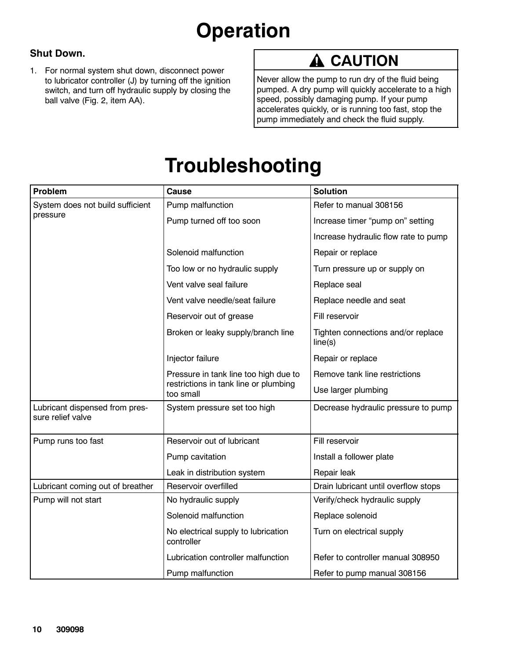# **Operation**

### **Shut Down.**

1. For normal system shut down, disconnect power to lubricator controller (J) by turning off the ignition switch, and turn off hydraulic supply by closing the ball valve (Fig. 2, item AA).

## **A** CAUTION

Never allow the pump to run dry of the fluid being pumped. A dry pump will quickly accelerate to a high speed, possibly damaging pump. If your pump accelerates quickly, or is running too fast, stop the pump immediately and check the fluid supply.

## **Troubleshooting**

| Problem                                             | <b>Cause</b>                                       | <b>Solution</b>                               |
|-----------------------------------------------------|----------------------------------------------------|-----------------------------------------------|
| System does not build sufficient                    | Pump malfunction                                   | Refer to manual 308156                        |
| pressure                                            | Pump turned off too soon                           | Increase timer "pump on" setting              |
|                                                     |                                                    | Increase hydraulic flow rate to pump          |
|                                                     | Solenoid malfunction                               | Repair or replace                             |
|                                                     | Too low or no hydraulic supply                     | Turn pressure up or supply on                 |
|                                                     | Vent valve seal failure                            | Replace seal                                  |
|                                                     | Vent valve needle/seat failure                     | Replace needle and seat                       |
|                                                     | Reservoir out of grease                            | Fill reservoir                                |
|                                                     | Broken or leaky supply/branch line                 | Tighten connections and/or replace<br>line(s) |
|                                                     | Injector failure                                   | Repair or replace                             |
|                                                     | Pressure in tank line too high due to              | Remove tank line restrictions                 |
|                                                     | restrictions in tank line or plumbing<br>too small | Use larger plumbing                           |
| Lubricant dispensed from pres-<br>sure relief valve | System pressure set too high                       | Decrease hydraulic pressure to pump           |
| Pump runs too fast                                  | Reservoir out of lubricant                         | Fill reservoir                                |
|                                                     | Pump cavitation                                    | Install a follower plate                      |
|                                                     | Leak in distribution system                        | Repair leak                                   |
| Lubricant coming out of breather                    | Reservoir overfilled                               | Drain lubricant until overflow stops          |
| Pump will not start                                 | No hydraulic supply                                | Verify/check hydraulic supply                 |
|                                                     | Solenoid malfunction                               | Replace solenoid                              |
|                                                     | No electrical supply to lubrication<br>controller  | Turn on electrical supply                     |
|                                                     | Lubrication controller malfunction                 | Refer to controller manual 308950             |
|                                                     | Pump malfunction                                   | Refer to pump manual 308156                   |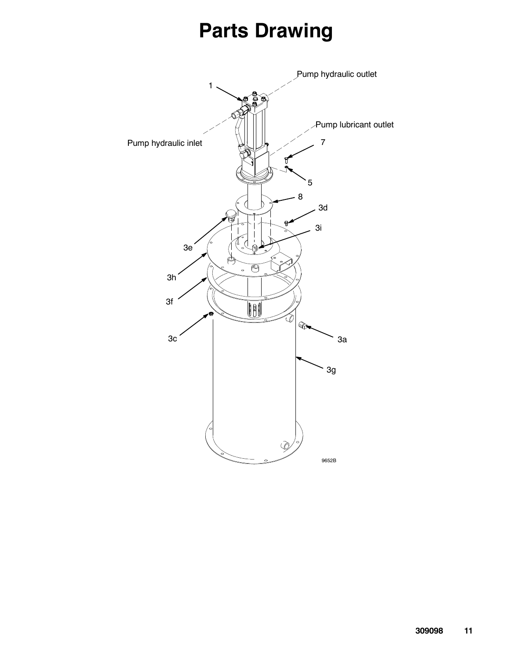## **Parts Drawing**

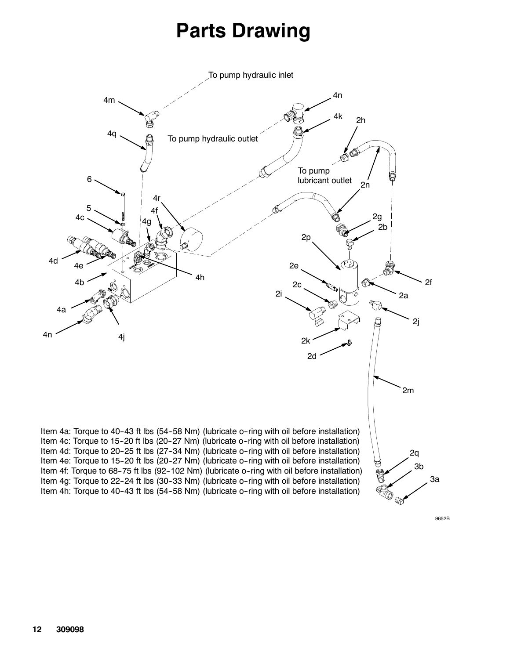## **Parts Drawing**



9652B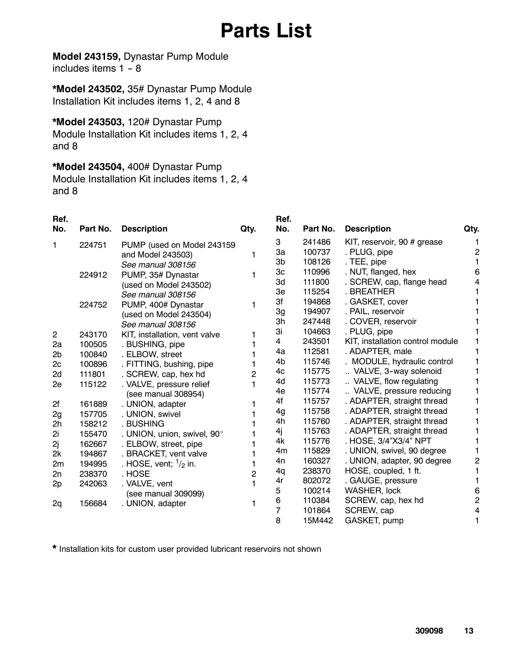## **Parts List**

**Model 243159,** Dynastar Pump Module includes items  $1 - 8$ 

**\*Model 243502,** 35# Dynastar Pump Module Installation Kit includes items 1, 2, 4 and 8

### **\*Model 243503,** 120# Dynastar Pump

Module Installation Kit includes items 1, 2, 4 and 8

**\*Model 243504,** 400# Dynastar Pump Module Installation Kit includes items 1, 2, 4 and 8

| п | Ret |  |
|---|-----|--|
|   |     |  |

| .<br>No.                | Part No. | <b>Description</b>              | Qty. | No. | Part No. | <b>Description</b>               | Qty. |
|-------------------------|----------|---------------------------------|------|-----|----------|----------------------------------|------|
| 1                       | 224751   | PUMP (used on Model 243159      |      | 3   | 241486   | KIT, reservoir, 90 # grease      |      |
|                         |          | and Model 243503)               |      | Зa  | 100737   | . PLUG, pipe                     | 2    |
|                         |          | See manual 308156               |      | 3b  | 108126   | . TEE, pipe                      |      |
|                         | 224912   | PUMP, 35# Dynastar              |      | 3c  | 110996   | . NUT, flanged, hex              | 6    |
|                         |          | (used on Model 243502)          |      | 3d  | 111800   | . SCREW, cap, flange head        |      |
|                         |          | See manual 308156               |      | 3e  | 115254   | . BREATHER                       |      |
|                         | 224752   | PUMP, 400# Dynastar             |      | 3f  | 194868   | . GASKET, cover                  |      |
|                         |          | (used on Model 243504)          |      | 3g  | 194907   | . PAIL, reservoir                |      |
|                         |          | See manual 308156               |      | 3h  | 247448   | . COVER, reservoir               |      |
| $\overline{\mathbf{c}}$ | 243170   | KIT, installation, vent valve   |      | 3i  | 104663   | . PLUG, pipe                     |      |
| 2a                      | 100505   | . BUSHING, pipe                 |      | 4   | 243501   | KIT, installation control module |      |
| 2 <sub>b</sub>          | 100840   | . ELBOW, street                 |      | 4a  | 112581   | . ADAPTER, male                  |      |
| 2c                      | 100896   | . FITTING, bushing, pipe        |      | 4b  | 115746   | . MODULE, hydraulic control      |      |
| 2d                      | 111801   | . SCREW, cap, hex hd            | 2    | 4c  | 115775   | VALVE, 3-way solenoid            |      |
| 2e                      | 115122   | . VALVE, pressure relief        |      | 4d  | 115773   | VALVE, flow regulating           |      |
|                         |          | (see manual 308954)             |      | 4e  | 115774   | VALVE, pressure reducing         |      |
| 2f                      | 161889   | . UNION, adapter                |      | 4f  | 115757   | . ADAPTER, straight thread       |      |
| 2g                      | 157705   | . UNION, swivel                 |      | 4g  | 115758   | . ADAPTER, straight thread       |      |
| 2h                      | 158212   | . BUSHING                       |      | 4h  | 115760   | . ADAPTER, straight thread       |      |
| 2i                      | 155470   | . UNION, union, swivel, 90°     |      | 4j  | 115763   | . ADAPTER, straight thread       |      |
| 2j                      | 162667   | . ELBOW, street, pipe           |      | 4k  | 115776   | . HOSE, 3/4"X3/4" NPT            |      |
| 2k                      | 194867   | . BRACKET, vent valve           |      | 4m  | 115829   | . UNION, swivel, 90 degree       |      |
| 2m                      | 194995   | . HOSE, vent; $\frac{1}{2}$ in. |      | 4n  | 160327   | . UNION, adapter, 90 degree      | 2    |
| 2n                      | 238370   | . HOSE                          | 2    | 4q  | 238370   | HOSE, coupled, 1 ft.             |      |
| 2p                      | 242063   | . VALVE, vent                   |      | 4r  | 802072   | . GAUGE, pressure                |      |
|                         |          | (see manual 309099)             |      | 5   | 100214   | WASHER, lock                     | 6    |
| 2q                      | 156684   | . UNION, adapter                |      | 6   | 110384   | SCREW, cap, hex hd               | 2    |
|                         |          |                                 |      | 7   | 101864   | SCREW, cap                       | 4    |
|                         |          |                                 |      | 8   | 15M442   | GASKET, pump                     |      |

**Ref.**

**\*** Installation kits for custom user provided lubricant reservoirs not shown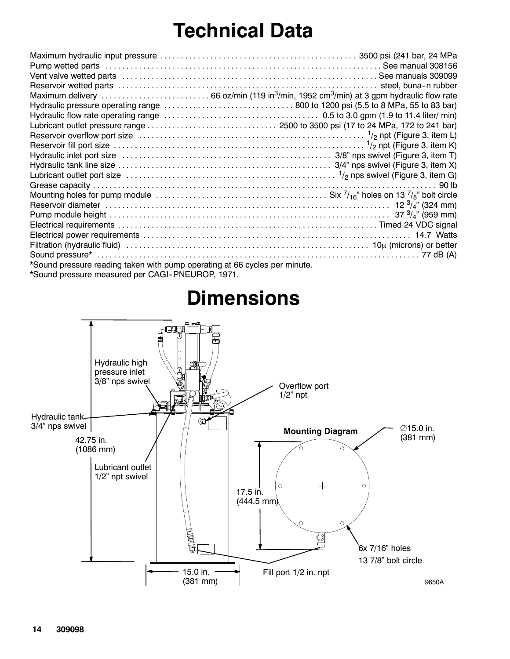## **Technical Data**

|                                                                            | Lubricant outlet port size $\dots\dots\dots\dots\dots\dots\dots\dots\dots\dots\dots\dots\dots\dots\dots\dots$ $\frac{1}{2}$ nps swivel (Figure 3, item G)                |
|----------------------------------------------------------------------------|--------------------------------------------------------------------------------------------------------------------------------------------------------------------------|
|                                                                            |                                                                                                                                                                          |
|                                                                            | Mounting holes for pump module $\ldots \ldots \ldots \ldots \ldots \ldots \ldots \ldots \ldots \ldots \ldots$ . Six $^{7}/_{16}$ " holes on 13 $^{7}/_{8}$ " bolt circle |
|                                                                            |                                                                                                                                                                          |
|                                                                            |                                                                                                                                                                          |
|                                                                            |                                                                                                                                                                          |
|                                                                            |                                                                                                                                                                          |
|                                                                            |                                                                                                                                                                          |
|                                                                            |                                                                                                                                                                          |
| *Sound pressure reading taken with pump operating at 66 cycles per minute. |                                                                                                                                                                          |
|                                                                            |                                                                                                                                                                          |

\*Sound pressure measured per CAGI--PNEUROP, 1971.

## **Dimensions**

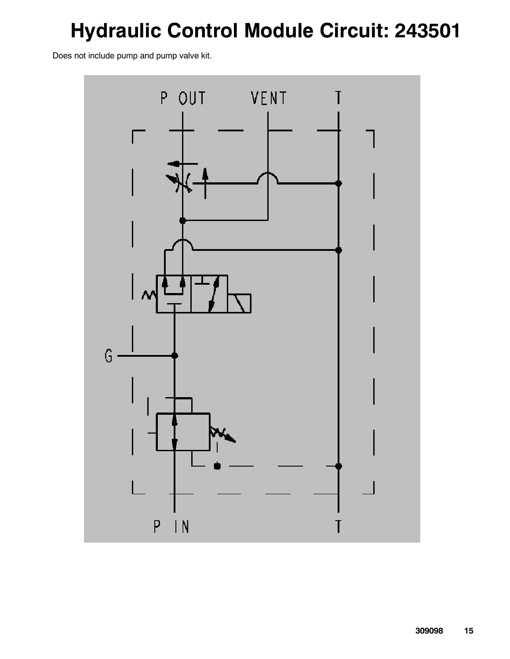# **Hydraulic Control Module Circuit: 243501**

Does not include pump and pump valve kit.